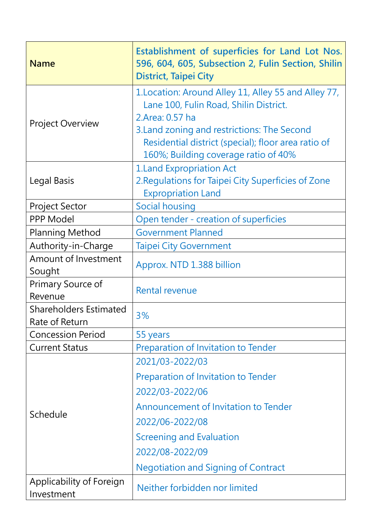| <b>Name</b>                                     | Establishment of superficies for Land Lot Nos.<br>596, 604, 605, Subsection 2, Fulin Section, Shilin<br>District, Taipei City                                                                                                                                   |
|-------------------------------------------------|-----------------------------------------------------------------------------------------------------------------------------------------------------------------------------------------------------------------------------------------------------------------|
| <b>Project Overview</b>                         | 1. Location: Around Alley 11, Alley 55 and Alley 77,<br>Lane 100, Fulin Road, Shilin District.<br>2.Area: 0.57 ha<br>3. Land zoning and restrictions: The Second<br>Residential district (special); floor area ratio of<br>160%; Building coverage ratio of 40% |
| Legal Basis                                     | <b>1.Land Expropriation Act</b><br>2. Regulations for Taipei City Superficies of Zone<br><b>Expropriation Land</b>                                                                                                                                              |
| <b>Project Sector</b>                           | <b>Social housing</b>                                                                                                                                                                                                                                           |
| PPP Model                                       | Open tender - creation of superficies                                                                                                                                                                                                                           |
| <b>Planning Method</b>                          | <b>Government Planned</b>                                                                                                                                                                                                                                       |
| Authority-in-Charge                             | <b>Taipei City Government</b>                                                                                                                                                                                                                                   |
| Amount of Investment<br>Sought                  | Approx. NTD 1.388 billion                                                                                                                                                                                                                                       |
| Primary Source of<br>Revenue                    | <b>Rental revenue</b>                                                                                                                                                                                                                                           |
| <b>Shareholders Estimated</b><br>Rate of Return | 3%                                                                                                                                                                                                                                                              |
| <b>Concession Period</b>                        | 55 years                                                                                                                                                                                                                                                        |
| <b>Current Status</b>                           | Preparation of Invitation to Tender                                                                                                                                                                                                                             |
| Schedule                                        | 2021/03-2022/03                                                                                                                                                                                                                                                 |
|                                                 | Preparation of Invitation to Tender                                                                                                                                                                                                                             |
|                                                 | 2022/03-2022/06                                                                                                                                                                                                                                                 |
|                                                 | Announcement of Invitation to Tender                                                                                                                                                                                                                            |
|                                                 | 2022/06-2022/08                                                                                                                                                                                                                                                 |
|                                                 | Screening and Evaluation                                                                                                                                                                                                                                        |
|                                                 | 2022/08-2022/09                                                                                                                                                                                                                                                 |
|                                                 | <b>Negotiation and Signing of Contract</b>                                                                                                                                                                                                                      |
| Applicability of Foreign                        |                                                                                                                                                                                                                                                                 |
| Investment                                      | Neither forbidden nor limited                                                                                                                                                                                                                                   |